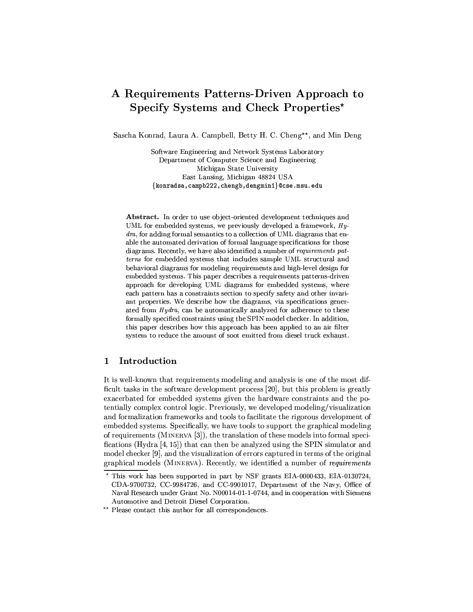# A Requirements Patterns-Driven Approach to Specify Systems and Check Properties\*

Sascha Konrad, Laura A. Campbell, Betty H. C. Cheng\*\*, and Min Deng

Software Engineering and Network Systems Laboratory Department of Computer Science and Engineering Michigan State University East Lansing, Michigan 48824 USA {konradsa, campb222, chengb, dengmin1}@cse.msu.edu

Abstract. In order to use object-oriented development techniques and UML for embedded systems, we previously developed a framework,  $Hy$  $dra$ , for adding formal semantics to a collection of UML diagrams that enable the automated derivation of formal language specifications for those diagrams. Recently, we have also identified a number of requirements patterns for embedded systems that includes sample UML structural and behavioral diagrams for modeling requirements and high-level design for embedded systems. This paper describes a requirements patterns-driven approach for developing UML diagrams for embedded systems, where each pattern has a constraints section to specify safety and other invariant properties. We describe how the diagrams, via specifications generated from *Hydra*, can be automatically analyzed for adherence to these formally specified constraints using the SPIN model checker. In addition, this paper describes how this approach has been applied to an air filter system to reduce the amount of soot emitted from diesel truck exhaust.

#### $\mathbf{1}$ Introduction

It is well-known that requirements modeling and analysis is one of the most difficult tasks in the software development process [20], but this problem is greatly exacerbated for embedded systems given the hardware constraints and the potentially complex control logic. Previously, we developed modeling/visualization and formalization frameworks and tools to facilitate the rigorous development of embedded systems. Specifically, we have tools to support the graphical modeling of requirements (MINERVA [3]), the translation of these models into formal specifications (Hydra [4, 15]) that can then be analyzed using the SPIN simulator and model checker [9], and the visualization of errors captured in terms of the original graphical models (MINERVA). Recently, we identified a number of *requirements* 

This work has been supported in part by NSF grants EIA-0000433, EIA-0130724, CDA-9700732, CC-9984726, and CC-9901017, Department of the Navy, Office of Naval Research under Grant No. N00014-01-1-0744, and in cooperation with Siemens Automotive and Detroit Diesel Corporation.

<sup>\*\*</sup> Please contact this author for all correspondences.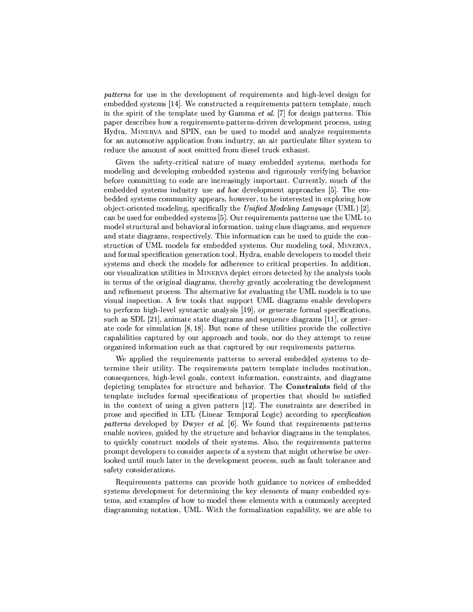*patterns* for use in the development of requirements and high-level design for embedded systems [14]. We constructed a requirements pattern template, much in the spirit of the template used by Gamma *et al.* [7] for design patterns. This paper describes how a requirements-patterns-driven development process, using Hydra, MINERVA and SPIN, can be used to model and analyze requirements for an automotive application from industry, an air particulate filter system to reduce the amount of soot emitted from diesel truck exhaust.

Given the safety-critical nature of many embedded systems, methods for modeling and developing embedded systems and rigorously verifying behavior before committing to code are increasingly important. Currently, much of the embedded systems industry use  $ad$  hoc development approaches [5]. The embedded systems community appears, however, to be interested in exploring how object-oriented modeling, specifically the Unified Modeling Language (UML) [2], can be used for embedded systems [5]. Our requirements patterns use the UML to model structural and behavioral information, using class diagrams, and sequence and state diagrams, respectively. This information can be used to guide the construction of UML models for embedded systems. Our modeling tool, MINERVA, and formal specification generation tool, Hydra, enable developers to model their systems and check the models for adherence to critical properties. In addition, our visualization utilities in MINERVA depict errors detected by the analysis tools in terms of the original diagrams, thereby greatly accelerating the development and refinement process. The alternative for evaluating the UML models is to use visual inspection. A few tools that support UML diagrams enable developers to perform high-level syntactic analysis [19], or generate formal specifications, such as SDL [21], animate state diagrams and sequence diagrams [11], or generate code for simulation  $[8, 18]$ . But none of these utilities provide the collective capabilities captured by our approach and tools, nor do they attempt to reuse organized information such as that captured by our requirements patterns.

We applied the requirements patterns to several embedded systems to determine their utility. The requirements pattern template includes motivation, consequences, high-level goals, context information, constraints, and diagrams depicting templates for structure and behavior. The Constraints field of the template includes formal specifications of properties that should be satisfied in the context of using a given pattern [12]. The constraints are described in prose and specified in LTL (Linear Temporal Logic) according to specification *patterns* developed by Dwyer *et al.* [6]. We found that requirements patterns enable novices, guided by the structure and behavior diagrams in the templates, to quickly construct models of their systems. Also, the requirements patterns prompt developers to consider aspects of a system that might otherwise be overlooked until much later in the development process, such as fault tolerance and safety considerations.

Requirements patterns can provide both guidance to novices of embedded systems development for determining the key elements of many embedded systems, and examples of how to model these elements with a commonly accepted diagramming notation, UML. With the formalization capability, we are able to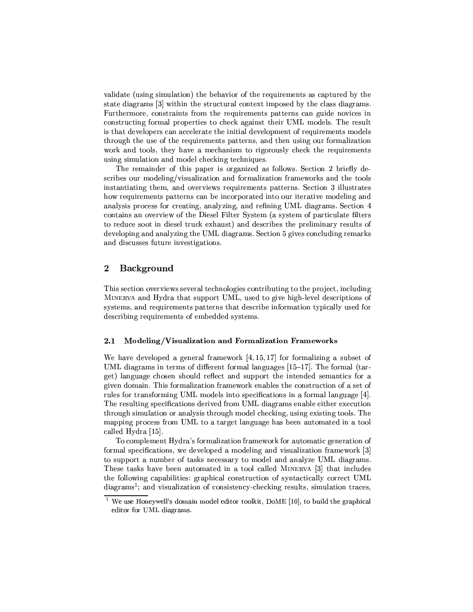validate (using simulation) the behavior of the requirements as captured by the state diagrams [3] within the structural context imposed by the class diagrams. Furthermore, constraints from the requirements patterns can guide novices in constructing formal properties to check against their UML models. The result is that developers can accelerate the initial development of requirements models through the use of the requirements patterns, and then using our formalization work and tools, they have a mechanism to rigorously check the requirements using simulation and model checking techniques.

The remainder of this paper is organized as follows. Section 2 briefly describes our modeling/visualization and formalization frameworks and the tools instantiating them, and overviews requirements patterns. Section 3 illustrates how requirements patterns can be incorporated into our iterative modeling and analysis process for creating, analyzing, and refining UML diagrams. Section 4 contains an overview of the Diesel Filter System (a system of particulate filters to reduce soot in diesel truck exhaust) and describes the preliminary results of developing and analyzing the UML diagrams. Section 5 gives concluding remarks and discusses future investigations.

#### $\boldsymbol{2}$ **Background**

This section overviews several technologies contributing to the project, including MINERVA and Hydra that support UML, used to give high-level descriptions of systems, and requirements patterns that describe information typically used for describing requirements of embedded systems.

#### Modeling/Visualization and Formalization Frameworks  $2.1$

We have developed a general framework  $[4, 15, 17]$  for formalizing a subset of UML diagrams in terms of different formal languages  $[15-17]$ . The formal  $(tar$ get) language chosen should reflect and support the intended semantics for a given domain. This formalization framework enables the construction of a set of rules for transforming UML models into specifications in a formal language [4]. The resulting specifications derived from UML diagrams enable either execution through simulation or analysis through model checking, using existing tools. The mapping process from UML to a target language has been automated in a tool called Hydra [15].

To complement Hydra's formalization framework for automatic generation of formal specifications, we developed a modeling and visualization framework [3] to support a number of tasks necessary to model and analyze UML diagrams. These tasks have been automated in a tool called MINERVA [3] that includes the following capabilities: graphical construction of syntactically correct UML diagrams<sup>1</sup>; and visualization of consistency-checking results, simulation traces,

<sup>&</sup>lt;sup>1</sup> We use Honeywell's domain model editor toolkit,  $DoME$  [10], to build the graphical editor for UML diagrams.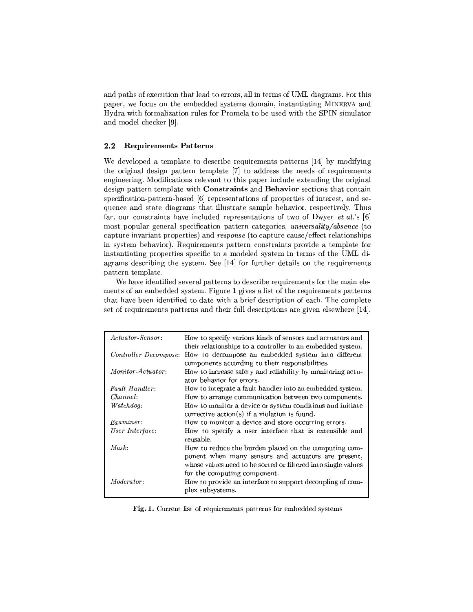and paths of execution that lead to errors, all in terms of UML diagrams. For this paper, we focus on the embedded systems domain, instantiating MINERVA and Hydra with formalization rules for Promela to be used with the SPIN simulator and model checker [9].

#### $2.2$ **Requirements Patterns**

We developed a template to describe requirements patterns [14] by modifying the original design pattern template [7] to address the needs of requirements engineering. Modifications relevant to this paper include extending the original design pattern template with **Constraints** and **Behavior** sections that contain specification-pattern-based [6] representations of properties of interest, and sequence and state diagrams that illustrate sample behavior, respectively. Thus far, our constraints have included representations of two of Dwyer et al.'s  $[6]$ most popular general specification pattern categories, universality/absence (to capture invariant properties) and response (to capture cause/effect relationships in system behavior). Requirements pattern constraints provide a template for instantiating properties specific to a modeled system in terms of the UML diagrams describing the system. See [14] for further details on the requirements pattern template.

We have identified several patterns to describe requirements for the main elements of an embedded system. Figure 1 gives a list of the requirements patterns that have been identified to date with a brief description of each. The complete set of requirements patterns and their full descriptions are given elsewhere [14].

| Actuator-Sensor:          | How to specify various kinds of sensors and actuators and           |
|---------------------------|---------------------------------------------------------------------|
|                           | their relationships to a controller in an embedded system.          |
| Controller Decompose:     | How to decompose an embedded system into different                  |
|                           | components according to their responsibilities.                     |
| <i>Monitor Actuator</i> : | How to increase safety and reliability by monitoring actu-          |
|                           | ator behavior for errors.                                           |
| Fault Handler:            | How to integrate a fault handler into an embedded system.           |
| Channel:                  | How to arrange communication between two components.                |
| W at chdog.               | How to monitor a device or system conditions and initiate           |
|                           | corrective $\arctan(s)$ if a violation is found.                    |
| Examiner:                 | How to monitor a device and store occurring errors.                 |
| User Interface:           | How to specify a user interface that is extensible and<br>reusable. |
| Mask                      | How to reduce the burden placed on the computing com-               |
|                           | ponent when many sensors and actuators are present,                 |
|                           | whose values need to be sorted or filtered into single values       |
|                           | for the computing component.                                        |
| Moderator:                | How to provide an interface to support decoupling of com-           |
|                           | plex subsystems.                                                    |

Fig. 1. Current list of requirements patterns for embedded systems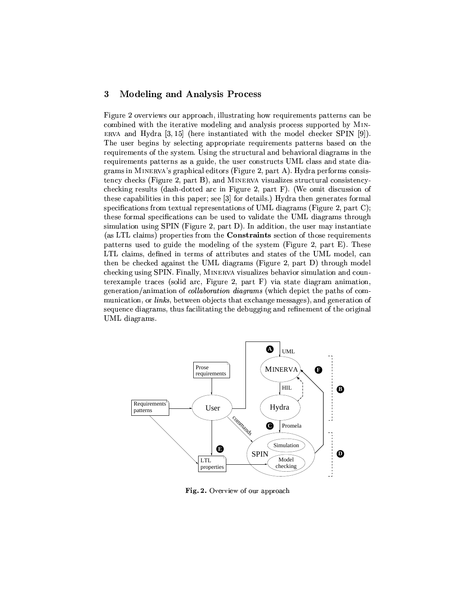#### **Modeling and Analysis Process**  $\bf{3}$

Figure 2 overviews our approach, illustrating how requirements patterns can be combined with the iterative modeling and analysis process supported by MIN-ERVA and Hydra  $[3, 15]$  (here instantiated with the model checker SPIN  $[9]$ ). The user begins by selecting appropriate requirements patterns based on the requirements of the system. Using the structural and behavioral diagrams in the requirements patterns as a guide, the user constructs UML class and state diagrams in MINERVA's graphical editors (Figure 2, part A). Hydra performs consistency checks (Figure 2, part B), and MINERVA visualizes structural consistencychecking results (dash-dotted arc in Figure 2, part F). (We omit discussion of these capabilities in this paper; see [3] for details.) Hydra then generates formal specifications from textual representations of UML diagrams (Figure 2, part C); these formal specifications can be used to validate the UML diagrams through simulation using SPIN (Figure 2, part D). In addition, the user may instantiate (as LTL claims) properties from the **Constraints** section of those requirements patterns used to guide the modeling of the system (Figure 2, part E). These LTL claims, defined in terms of attributes and states of the UML model, can then be checked against the UML diagrams (Figure 2, part D) through model checking using SPIN. Finally, MINERVA visualizes behavior simulation and counterexample traces (solid arc, Figure 2, part F) via state diagram animation, generation/animation of *collaboration diagrams* (which depict the paths of communication, or *links*, between objects that exchange messages), and generation of sequence diagrams, thus facilitating the debugging and refinement of the original UML diagrams.



Fig. 2. Overview of our approach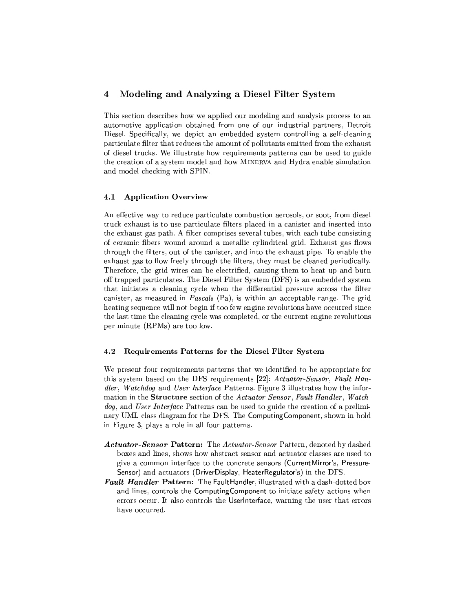#### Modeling and Analyzing a Diesel Filter System  $\overline{\mathbf{4}}$

This section describes how we applied our modeling and analysis process to an automotive application obtained from one of our industrial partners, Detroit Diesel. Specifically, we depict an embedded system controlling a self-cleaning particulate filter that reduces the amount of pollutants emitted from the exhaust of diesel trucks. We illustrate how requirements patterns can be used to guide the creation of a system model and how MINERVA and Hydra enable simulation and model checking with SPIN.

#### $4.1$ **Application Overview**

An effective way to reduce particulate combustion aerosols, or soot, from diesel truck exhaust is to use particulate filters placed in a canister and inserted into the exhaust gas path. A filter comprises several tubes, with each tube consisting of ceramic fibers wound around a metallic cylindrical grid. Exhaust gas flows through the filters, out of the canister, and into the exhaust pipe. To enable the exhaust gas to flow freely through the filters, they must be cleaned periodically. Therefore, the grid wires can be electrified, causing them to heat up and burn off trapped particulates. The Diesel Filter System (DFS) is an embedded system that initiates a cleaning cycle when the differential pressure across the filter canister, as measured in *Pascals* (Pa), is within an acceptable range. The grid heating sequence will not begin if too few engine revolutions have occurred since the last time the cleaning cycle was completed, or the current engine revolutions per minute (RPMs) are too low.

#### Requirements Patterns for the Diesel Filter System 4.2

We present four requirements patterns that we identified to be appropriate for this system based on the DFS requirements [22]: Actuator-Sensor, Fault Handler, Watchdog and User Interface Patterns. Figure 3 illustrates how the information in the **Structure** section of the *Actuator-Sensor*, *Fault Handler*, *Watchdog*, and *User Interface* Patterns can be used to guide the creation of a preliminary UML class diagram for the DFS. The ComputingComponent, shown in bold in Figure 3, plays a role in all four patterns.

- **Actuator-Sensor Pattern:** The Actuator-Sensor Pattern, denoted by dashed boxes and lines, shows how abstract sensor and actuator classes are used to give a common interface to the concrete sensors (CurrentMirror's, Pressure-Sensor) and actuators (DriverDisplay, HeaterRegulator's) in the DFS.
- Fault Handler Pattern: The FaultHandler, illustrated with a dash-dotted box and lines, controls the ComputingComponent to initiate safety actions when errors occur. It also controls the UserInterface, warning the user that errors have occurred.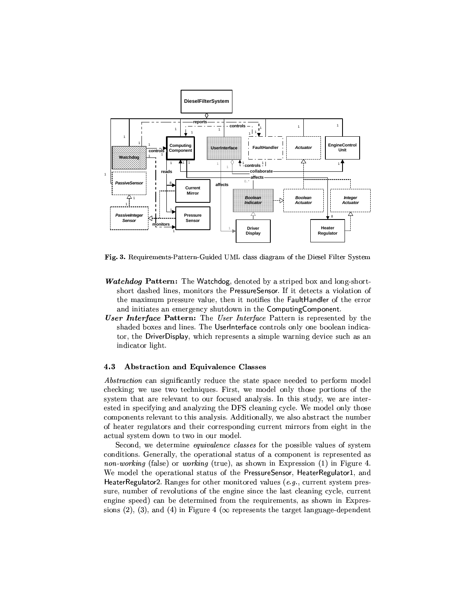

Fig. 3. Requirements-Pattern-Guided UML class diagram of the Diesel Filter System

- M.IhGw.P 635340#Y IPbm:9c y-28?rSRDbdNPLWhHbR aj`C#EkhQOHte\_[bnR a[L&ÞC^NrR ceLWNro^ùEiIPLFOihHù EiIrLWOHh\*RrCWEHIPbnR?cÊteNPbEdS]`LFNPthQLWOJEmhHIPb a\~Dpbcb\_78\]DfD-=:bh2`\Y ÷ütÊh(RDbhQbnG³hJE6CáþtÊLFceC^hHteLWN/L^ü herbohhipbn and telephone and the company both the company between the company of the company of the company of and initiates an emergency shutdown in the ComputingComponent.
- User Interface Pattern: The User Interface Pattern is represented by the EiI CWRDbR3a[L&DbnECWNrRácÊteNPbEdY Irb <sup>z</sup>bhDC\ {>=:9LDC\~}meD(GdLWNqhHOQLWc»ELWNrcÊj3LWNPb\*a[LLWcebnC^NáteNrRDt»GdC2ùhttps://webs.article.gov.gov.heimto.gov.heimto.gov.heimto.gov.heimto.gov.heimto.gov.heimtobachbad.gov.heimtoba indicator light.

### 23546437.10 6-0
7 -6#0 -6-222

 $\mathcal{M}$  ) and the contract of  $\mathcal{M}$  eigenvalues of  $\mathcal{M}$  . The contract of  $\mathcal{M}$  is one contract of  $\mathcal{M}$  and  $\mathcal{M}$  is one contract of  $\mathcal{M}$  and  $\mathcal{M}$  is one contract of  $\mathcal{M}$  is one contract of GJIPbnGJúteNPo#0ø\bèV Eib hkø\L hQbnGJIPNPt»ûqVPbnEnY teOQEihnS,ø,bè]LDRDbncmLFNPcejéhQIPLFEHb \_[LWOHhHteLWNrEL^ü\*hHIrb EijDEihHbd] hHIrC^hC^OQb3OQbdcebdþ2C^Nqh`hHL LFVPOüLGdVrEHbnRäC^NrCWcÊjDEHteEnY ÷NéhQIPt»EÞEkhQVrRDjFSø,b C^OQbtÊNqhQbdOHù bnEihHbnRáteN Ei\_[bnGdtüjteNPoÞC^N RáCWNrC^cej'dteNPohHIPb6uBGcebnCWNPtÊNroÞGjDGcebWY-/b\*]`LDRDbdcLWNPcej hHIrLFEHb components relevant to this analysis. Additionally, we also abstract the number L^üIPbnC^hHbdO\*OQbdoFVPc»C2hHLFOQEC^N RèhQIPbdteO(GdLWOQOHbEi\_[LWNrRPtÊNPoGVrOHOQbdNqh\*]`tÊOQOHLFOQEmüOQLW] bntÊoFIqh6tÊN/hHIrb CWG³hQVrC^cEHjDEkhQbd] RPL2øN3hQLhkø,L`teNáLFVPO]`LDRDbdcY

 $\mathcal{C}_{\text{second}}$  we determine equivalence classes for the negathle velues of system conditions. Generally, the operational status of a component is represented as e 2- USBN 2-0-VERTHOU 2- EIBAD 2-0-VERTHALD 2-1-VERTHE 1-VERTHE 1-VERTHE 1-VERTHE 1-VERTHE 1-VERTHE 1-VERTHE 1-.baja booqcoheda bilaar bilaan booqcoheda bilaar bilaan bilaan bilaan bilaan bilaan bilaan bilaan bilaan bilaa  $\blacksquare$ ...D.m:1.Decompofferite 54  $\blacksquare$ EiVPOQbWS NVP]#a bnO\*L^ü<OQbdþFLWceVDhHteLWNrEmL^ü,hHIPb`bnNPoWteNPb EiteNrGdb(hQIPb`ceCFEkh\*GcebnCWNPtÊNroáGdjGdcÊbFSGVPOQOQbdNqh engine speed) can be determined from the requirements, as shown in Expres-Eithelware S/A and the S/A teo Windows and the Oqbdrrepborofbia, and the S/A since the S/A since the S/A since the S/A since the S/A since the S/A since the S/A since the S/A since the S/A since the S/A since the S/A since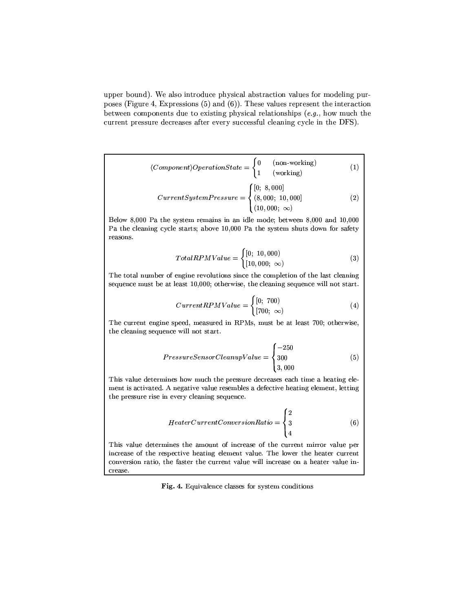upper bound). We also introduce physical abstraction values for modeling purposes (Figure 4, Expressions  $(5)$  and  $(6)$ ). These values represent the interaction between components due to existing physical relationships  $(e.g., how much the$ current pressure decreases after every successful cleaning cycle in the DFS).

$$
\langle Component\rangle OperationState = \begin{cases} 0 & \text{(non-world)}\\ 1 & \text{(working)} \end{cases} \tag{1}
$$

$$
Current System Pressure = \begin{cases} [0; 8,000] \\ (8,000; 10,000] \end{cases} \tag{2}
$$

$$
itsystemPressure = \begin{cases} (8,000; 10,000] \\ (10,000; \infty) \end{cases} (2)
$$

Below 8,000 Pa the system remains in an idle mode; between 8,000 and 10,000 Pa the cleaning cycle starts; above 10,000 Pa the system shuts down for safety reasons.

$$
Total RPMValue = \begin{cases} [0; 10,000) \\ [10,000; \infty) \end{cases} \tag{3}
$$

The total number of engine revolutions since the completion of the last cleaning sequence must be at least 10,000; otherwise, the cleaning sequence will not start.

$$
Current RPMValue = \begin{cases} [0; 700) \\ [700; \infty) \end{cases} \tag{4}
$$

The current engine speed, measured in RPMs, must be at least 700; otherwise, the cleaning sequence will not start.

$$
PressureSensorClearupValue = \begin{cases} -250\\ 300\\ 3,000 \end{cases} \tag{5}
$$

This value determines how much the pressure decreases each time a heating element is activated. A negative value resembles a defective heating element, letting the pressure rise in every cleaning sequence.

$$
HeaterCurrent ConversionRatio = \begin{cases} 2 \\ 3 \\ 4 \end{cases}
$$
 (6)

This value determines the amount of increase of the current mirror value per increase of the respective heating element value. The lower the heater current conversion ratio, the faster the current value will increase on a heater value increase.

Fig. 4. Equivalence classes for system conditions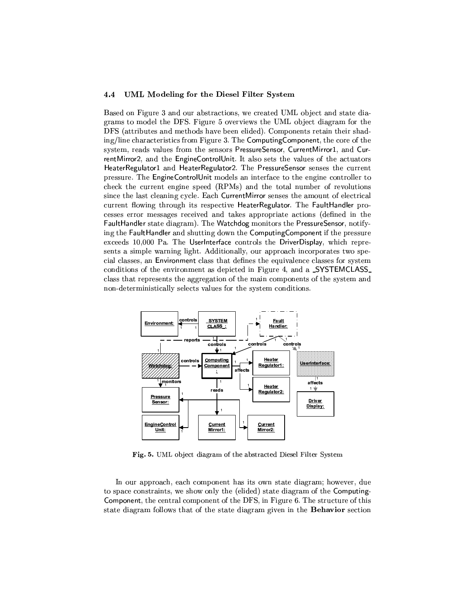#### UML Modeling for the Diesel Filter System  $4.4$

Based on Figure 3 and our abstractions, we created UML object and state diagrams to model the DFS. Figure 5 overviews the UML object diagram for the DFS (attributes and methods have been elided). Components retain their shading/line characteristics from Figure 3. The Computing Component, the core of the system, reads values from the sensors PressureSensor, CurrentMirror1, and CurrentMirror2, and the EngineControlUnit. It also sets the values of the actuators HeaterRegulator1 and HeaterRegulator2. The PressureSensor senses the current pressure. The EngineControlUnit models an interface to the engine controller to check the current engine speed (RPMs) and the total number of revolutions since the last cleaning cycle. Each CurrentMirror senses the amount of electrical current flowing through its respective HeaterRegulator. The FaultHandler processes error messages received and takes appropriate actions (defined in the FaultHandler state diagram). The Watchdog monitors the PressureSensor, notifying the FaultHandler and shutting down the ComputingComponent if the pressure exceeds 10,000 Pa. The UserInterface controls the DriverDisplay, which represents a simple warning light. Additionally, our approach incorporates two special classes, an Environment class that defines the equivalence classes for system conditions of the environment as depicted in Figure 4, and a SYSTEMCLASS class that represents the aggregation of the main components of the system and non-deterministically selects values for the system conditions.



Fig. 5. UML object diagram of the abstracted Diesel Filter System

In our approach, each component has its own state diagram; however, due to space constraints, we show only the (elided) state diagram of the Computing-Component, the central component of the DFS, in Figure 6. The structure of this state diagram follows that of the state diagram given in the Behavior section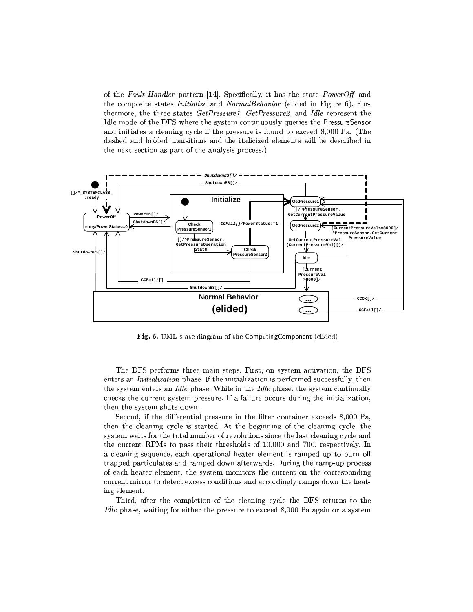of the Fault Handler pattern [14]. Specifically, it has the state PowerOff and the composite states *Initialize* and *NormalBehavior* (elided in Figure 6). Furthermore, the three states *GetPressure1*, *GetPressure2*, and *Idle* represent the Idle mode of the DFS where the system continuously queries the PressureSensor and initiates a cleaning cycle if the pressure is found to exceed  $8,000$  Pa. (The dashed and bolded transitions and the italicized elements will be described in the next section as part of the analysis process.)



Fig. 6. UML state diagram of the ComputingComponent (elided)

The DFS performs three main steps. First, on system activation, the DFS enters an *Initialization* phase. If the initialization is performed successfully, then the system enters an *Idle* phase. While in the *Idle* phase, the system continually checks the current system pressure. If a failure occurs during the initialization, then the system shuts down.

Second, if the differential pressure in the filter container exceeds 8,000 Pa, then the cleaning cycle is started. At the beginning of the cleaning cycle, the system waits for the total number of revolutions since the last cleaning cycle and the current RPMs to pass their thresholds of 10,000 and 700, respectively. In a cleaning sequence, each operational heater element is ramped up to burn off trapped particulates and ramped down afterwards. During the ramp-up process of each heater element, the system monitors the current on the corresponding current mirror to detect excess conditions and accordingly ramps down the heating element.

Third, after the completion of the cleaning cycle the DFS returns to the *Idle* phase, waiting for either the pressure to exceed 8,000 Pa again or a system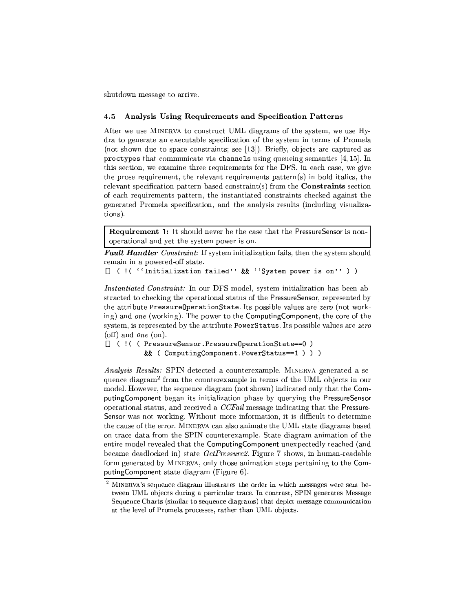shutdown message to arrive.

#### **Analysis Using Requirements and Specification Patterns** 4.5

After we use MINERVA to construct UML diagrams of the system, we use Hydra to generate an executable specification of the system in terms of Promela (not shown due to space constraints; see [13]). Briefly, objects are captured as proctypes that communicate via channels using queueing semantics  $[4, 15]$ . In this section, we examine three requirements for the DFS. In each case, we give the prose requirement, the relevant requirements pattern(s) in bold italics, the relevant specification-pattern-based constraint(s) from the Constraints section of each requirements pattern, the instantiated constraints checked against the generated Promela specification, and the analysis results (including visualizations).

Requirement 1: It should never be the case that the PressureSensor is nonoperational and yet the system power is on.

**Fault Handler** Constraint: If system initialization fails, then the system should remain in a powered-off state.

```
[] ( ! ( ''Initialization failed'' && ''System power is on'' ) )
```
Instantiated Constraint: In our DFS model, system initialization has been abstracted to checking the operational status of the PressureSensor, represented by the attribute PressureOperationState. Its possible values are zero (not working) and one (working). The power to the Computing Component, the core of the system, is represented by the attribute PowerStatus. Its possible values are zero (off) and *one* (on).

```
[] ( ! ( ( PressureSensor. PressureOperationState==0 )
          && ( ComputingComponent. PowerStatus==1 ) ) )
```
Analysis Results: SPIN detected a counterexample. MINERVA generated a sequence diagram<sup>2</sup> from the counterexample in terms of the UML objects in our model. However, the sequence diagram (not shown) indicated only that the Computing Component began its initialization phase by querying the Pressure Sensor operational status, and received a  $CCFail$  message indicating that the Pressure-Sensor was not working. Without more information, it is difficult to determine the cause of the error. MINERVA can also animate the UML state diagrams based on trace data from the SPIN counterexample. State diagram animation of the entire model revealed that the Computing Component unexpectedly reached (and became deadlocked in) state GetPressure2. Figure 7 shows, in human-readable form generated by MINERVA, only those animation steps pertaining to the ComputingComponent state diagram (Figure 6).

<sup>&</sup>lt;sup>2</sup> MINERVA's sequence diagram illustrates the order in which messages were sent between UML objects during a particular trace. In contrast, SPIN generates Message Sequence Charts (similar to sequence diagrams) that depict message communication at the level of Promela processes, rather than UML objects.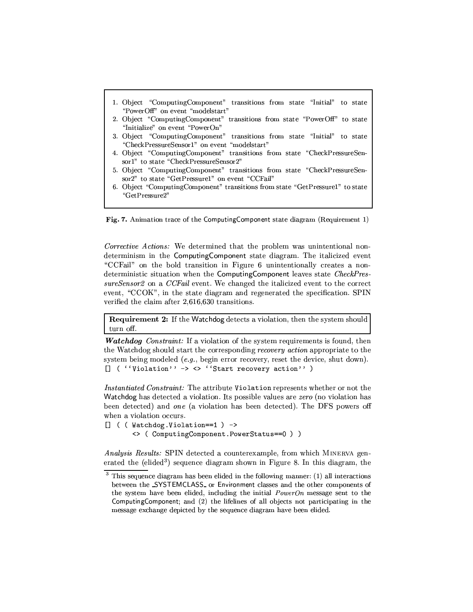|  | 1. Object "ComputingComponent" transitions from state "Initial" to state |  |  |  |  |
|--|--------------------------------------------------------------------------|--|--|--|--|
|  | "PowerOff" on event "modelstart"                                         |  |  |  |  |

- ¢^Ò3L\^Æ}QQy w\*FFykqw\*Dwnq}J2y-?y|i{dqykwFxÊ|kw yi{dyk} çwz}Q|5L\$/ykw yi{yk} "Initialize" on event "PowerOn"
- GWÒ3L\^Æ}QQy w\*FFykqw\*DwF}J2y- y|i{nFykwnq xe|kw yi{yk} fÅFyk{dÈåykwåyi{yk}  $\sim$  Jiwayi Hefman H6w  $\sim$  Jiwayi  $\sim$  Jiwayi  $\sim$  Jiwayi din  $\sim$  Jiwayi din  $\sim$  Jiwayi din  $\sim$  Jiwayi din  $\sim$  Jiwayi din  $\sim$  Jiwayi din  $\sim$  Jiwayi din  $\sim$  Jiwayi din  $\sim$  Jiwayi din  $\sim$  Jiwayi din  $\sim$  Jiwayi di
- $\mathcal{L}=\mathcal{L}=\mathcal{L}=\mathcal{L}=\mathcal{L}=\mathcal{L}=\mathcal{L}=\mathcal{L}=\mathcal{L}=\mathcal{L}=\mathcal{L}=\mathcal{L}=\mathcal{L}=\mathcal{L}=\mathcal{L}=\mathcal{L}=\mathcal{L}=\mathcal{L}=\mathcal{L}=\mathcal{L}=\mathcal{L}=\mathcal{L}=\mathcal{L}=\mathcal{L}=\mathcal{L}=\mathcal{L}=\mathcal{L}=\mathcal{L}=\mathcal{L}=\mathcal{L}=\mathcal{L}=\mathcal{L}=\mathcal{L}=\mathcal{L}=\mathcal{L}=\mathcal{L}=\mathcal{$ wad in the set of the set of  $\mathcal{A}$  and  $\mathcal{A}$  and  $\mathcal{A}$  for  $\mathcal{A}$  and  $\mathcal{A}$
- J^Ò3L\^Æ}QQy w\*FFykqw\*DwF}J2y- y|i{nFykwnqèxe|kwyi{dyk} F}JiFçA|k}JW|k}vW}JWÇ sor2" to state "GetPressure1" on event "CCFail"
- $\mathcal{L}=\mathcal{L}$ y-bwff $\mathcal{L}=\mathcal{L}$ y-bwff $\mathcal{L}=\mathcal{L}$ P\}QyiçA|k}JF|k}¢

Fig. 7. Animation trace of the ComputingComponent state diagram (Requirement 1)

Corrective Actions: We determined that the problem was unintentional non-RDbhQbdOQ]teNPt»Ei] teN hHIrb 0243B5J7p9<;>=E?`024365C24=EDC=:9EihQC2hQbèRDt»C^oFOQCW]áY\$
IPbètÊhQCWcÊt»GtdbR bdþFbdNqh "CCFail" on the bold transition in Figure 6 unintentionally creates a non- $R$ bessetten i Lib $\alpha$ <sub>i</sub>n  $\alpha$ <sub>2</sub> and  $\alpha$ <sup>2</sup> in  $\alpha$ 1  $\alpha$  $\alpha$  a  $\alpha$ ten ann S ten ann an Sealainn an Còrofodd a chomain comhan an Còrofodd a chomain comhan an Còrofodd a chomain c þWbdOQtÊýrbnRhHIPb6GdceCWtÊ] C2üÜhHbnO DS <"<PS <6hHOJC^NrEHtÊhHteLWNrEnY

74 \$083 <sup>Y</sup> <sup>÷</sup>ürhQIPb m:9c y82-?mRPbhHbG³hJECmþteLWc»C2hQtÊLFNShHIPbnN(hQIPbEijDEihHbn]ëEiIPLFVPc»R turn off.

 $\blacksquare$  is the state  $\blacksquare$  . The coherent contract of the operation results of the  $\blacksquare$  $\mathbf{M}=\mathbf{X}\mathbf{X}$  and  $\mathbf{M}=\mathbf{M}$  . The contract  $\mathbf{M}=\mathbf{M}$  and  $\mathbf{M}=\mathbf{M}$ eijDeihhedihhedihhedistä in eijaldroboddata in eijaldroboddbw. [] ( ''Violation'' -> <> ''Start recoverv action'' )

 $Instantiated\ Constant:$  The attribute Violation represents whether or not the m:9c y-28?(IrCFE,RPbhHbG³hQbnRáC6þtÊLFceC^hHteLWNY <sup>÷</sup>hJE,\_[LFEQEHtÊaPcebþ2CWcÊVPbEC^OQb %42 ßNPL#þteLWc»C2hQtÊLFNIrCFE a bild $\alpha$ a albandar ir a bandar ar a bhadain an bhadain an t-aibhdhean an a-bhadain an a-bhadain an a-bhadain when a violation occurs.

- [] ( ( Watchdog.Violation==1 ) ->
	- <> ( ComputingComponent.PowerStatus==0 ) )

 <sup>=</sup> &@79@@O4@8 >A@&\*B ÷)( RPbhHbG³hQbnRèC3GLFVPNqhHbdOQbPCW]\_rcÊbFSPüOQLW]øIPt»GJI -/- éoWbdNPù bdOJC2hHbR hQIPb bdcet»RDbnR %EibûFVrbdNrGdbRDt»C^oFOQCW]EiIPL2øN?tÊN tÊoFVPOHb \*PY <sup>÷</sup>N?hHIPt»E\*RDt»C^oFOQCW]áS hHIrb

 $\Omega$ iè2, is a component de la JFJ  $\Omega$  and  $\Omega$  and  $\Omega$  and  $\Omega$   $\Omega$   $\Omega$   $\Omega$   $\Omega$   $\Omega$   $\Omega$  $\Box$ Qyz}J yk $\Box$ alian yk $\Box$ alian wn $\Box$ ykq} Wyk}J {³} D}Q}J }JÈF}³PqQÈqFq3ykq} qyk{nÈ1032ÔHÏ4Ù \*}Jk{nn}Þ}J2y#ykwáykF} Computing Component; and  $(2)$  the lifelines of all objects not participating in the message exchange depicted by the sequence diagram have been elided.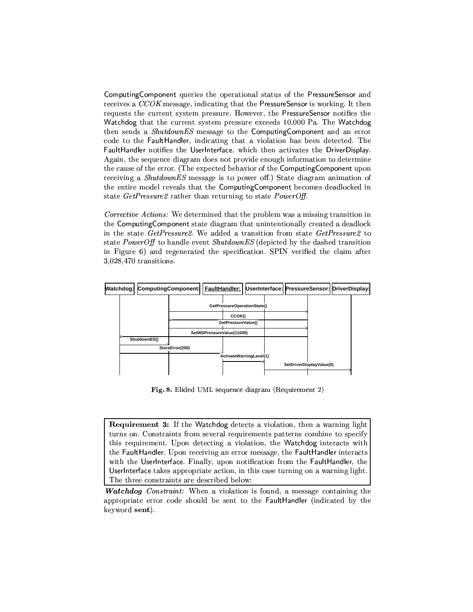ComputingComponent queries the operational status of the PressureSensor and receives a  $CCOK$  message, indicating that the PressureSensor is working. It then requests the current system pressure. However, the PressureSensor notifies the Watchdog that the current system pressure exceeds 10,000 Pa. The Watchdog then sends a *ShutdownES* message to the ComputingComponent and an error code to the FaultHandler, indicating that a violation has been detected. The FaultHandler notifies the UserInterface, which then activates the DriverDisplay. Again, the sequence diagram does not provide enough information to determine the cause of the error. (The expected behavior of the ComputingComponent upon receiving a ShutdownES message is to power off.) State diagram animation of the entire model reveals that the ComputingComponent becomes deadlocked in state  $GetPressure2$  rather than returning to state  $PowerOff$ .

Corrective Actions: We determined that the problem was a missing transition in the Computing Component state diagram that unintentionally created a deadlock in the state GetPressure2. We added a transition from state GetPressure2 to state PowerOff to handle event ShutdownES (depicted by the dashed transition in Figure 6) and regenerated the specification. SPIN verified the claim after  $3.028,470$  transitions.



Fig. 8. Elided UML sequence diagram (Requirement 2)

**Requirement 3:** If the Watchdog detects a violation, then a warning light turns on. Constraints from several requirements patterns combine to specify this requirement. Upon detecting a violation, the Watchdog interacts with the FaultHandler. Upon receiving an error message, the FaultHandler interacts with the UserInterface. Finally, upon notification from the FaultHandler, the UserInterface takes appropriate action, in this case turning on a warning light. The three constraints are described below:

**Watchdog** Constraint: When a violation is found, a message containing the appropriate error code should be sent to the FaultHandler (indicated by the keyword sent).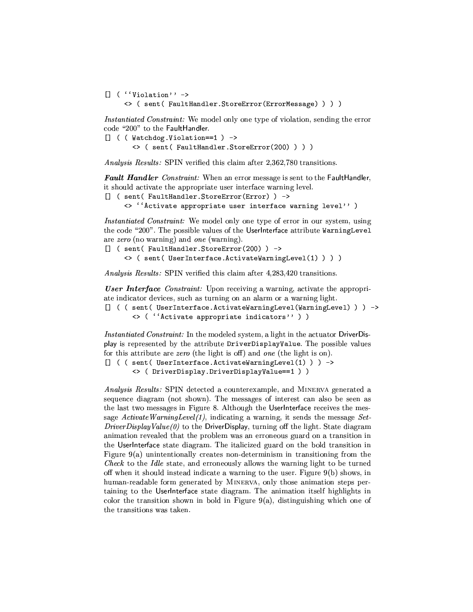```
[] ( ''Violation'' ->
     <> ( sent( FaultHandler. StoreError(ErrorMessage) ) ) )
```
Instantiated Constraint: We model only one type of violation, sending the error code "200" to the FaultHandler.

[] ( ( Watchdog. Violation == 1 ) -> <> ( sent( FaultHandler. StoreError(200) ) ) )

*Analysis Results:* SPIN verified this claim after 2,362,780 transitions.

Fault Handler Constraint: When an error message is sent to the FaultHandler, it should activate the appropriate user interface warning level.

[] ( sent ( FaultHandler. StoreError (Error) ) ->

<> ''Activate appropriate user interface warning level'' )

Instantiated Constraint: We model only one type of error in our system, using the code "200". The possible values of the UserInterface attribute WarningLevel are *zero* (no warning) and *one* (warning).

[] ( sent ( FaultHandler. StoreError (200) ) ->

```
<> ( sent( UserInterface.ActivateWarningLevel(1) ) ) )
```
Analysis Results: SPIN verified this claim after 4,283,420 transitions.

**User Interface** Constraint: Upon receiving a warning, activate the appropriate indicator devices, such as turning on an alarm or a warning light. [] ( ( sent ( User Interface Activate Warning Level ( Warning Level ) ) ) -> <> ( ''Activate appropriate indicators'' ) )

*Instantiated Constraint:* In the modeled system, a light in the actuator DriverDisplay is represented by the attribute DriverDisplayValue. The possible values for this attribute are zero (the light is off) and one (the light is on).

```
[] ( ( sent ( User Interface . Activate Warning Level (1) ) ) ->
```

```
<> ( DriverDisplay.DriverDisplayValue==1 ) )
```
*Analysis Results:* SPIN detected a counterexample, and MINERVA generated a sequence diagram (not shown). The messages of interest can also be seen as the last two messages in Figure 8. Although the UserInterface receives the message Activate Warning Level(1), indicating a warning, it sends the message Set- $Dirier DisplayValue(0)$  to the DriverDisplay, turning off the light. State diagram animation revealed that the problem was an erroneous guard on a transition in the UserInterface state diagram. The italicized guard on the bold transition in Figure  $9(a)$  unintentionally creates non-determinism in transitioning from the Check to the Idle state, and erroneously allows the warning light to be turned off when it should instead indicate a warning to the user. Figure  $9(b)$  shows, in human-readable form generated by MINERVA, only those animation steps pertaining to the Userlnterface state diagram. The animation itself highlights in color the transition shown in bold in Figure  $9(a)$ , distinguishing which one of the transitions was taken.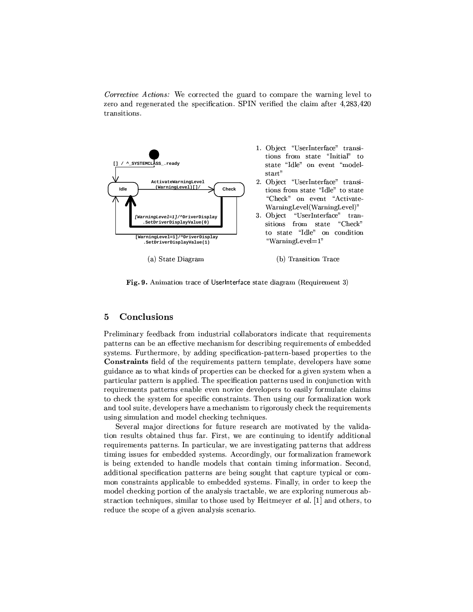Corrective Actions: We corrected the guard to compare the warning level to zero and regenerated the specification. SPIN verified the claim after 4,283,420 transitions.



Fig. 9. Animation trace of UserInterface state diagram (Requirement 3)

#### Conclusions  $\overline{5}$

Preliminary feedback from industrial collaborators indicate that requirements patterns can be an effective mechanism for describing requirements of embedded systems. Furthermore, by adding specification-pattern-based properties to the Constraints field of the requirements pattern template, developers have some guidance as to what kinds of properties can be checked for a given system when a particular pattern is applied. The specification patterns used in conjunction with requirements patterns enable even novice developers to easily formulate claims to check the system for specific constraints. Then using our formalization work and tool suite, developers have a mechanism to rigorously check the requirements using simulation and model checking techniques.

Several major directions for future research are motivated by the validation results obtained thus far. First, we are continuing to identify additional requirements patterns. In particular, we are investigating patterns that address timing issues for embedded systems. Accordingly, our formalization framework is being extended to handle models that contain timing information. Second, additional specification patterns are being sought that capture typical or common constraints applicable to embedded systems. Finally, in order to keep the model checking portion of the analysis tractable, we are exploring numerous abstraction techniques, similar to those used by Heitmeyer *et al.* [1] and others, to reduce the scope of a given analysis scenario.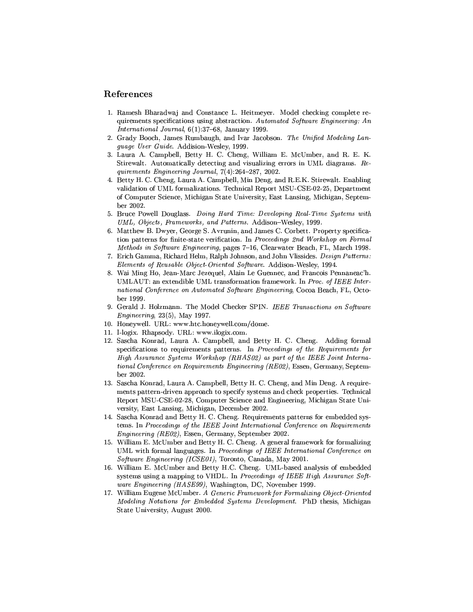## References

- 1. Ramesh Bharadwaj and Constance L. Heitmeyer. Model checking complete requirements specifications using abstraction. Automated Software Engineering: An *International Journal*, 6(1):37-68, January 1999.
- 2. Grady Booch, James Rumbaugh, and Ivar Jacobson. The Unified Modeling Language User Guide. Addision-Wesley, 1999.
- 3. Laura A. Campbell, Betty H. C. Cheng, William E. McUmber, and R. E. K. Stirewalt. Automatically detecting and visualizing errors in UML diagrams. Requirements Engineering Journal, 7(4):264-287, 2002.
- 4. Betty H. C. Cheng, Laura A. Campbell, Min Deng, and R.E.K. Stirewalt. Enabling validation of UML formalizations. Technical Report MSU-CSE-02-25, Department of Computer Science, Michigan State University, East Lansing, Michigan, September 2002.
- 5. Bruce Powell Douglass. Doing Hard Time: Developing Real-Time Systems with UML, Objects, Frameworks, and Patterns. Addison-Wesley, 1999.
- 6. Matthew B. Dwyer, George S. Avrunin, and James C. Corbett. Property specification patterns for finite-state verification. In Proceedings 2nd Workshop on Formal Methods in Software Engineering, pages 7-16, Clearwater Beach, FL, March 1998.
- 7. Erich Gamma, Richard Helm, Ralph Johnson, and John Vlissides. Design Patterns: Elements of Reusable Object-Oriented Software. Addison-Wesley, 1994.
- 8. Wai Ming Ho, Jean-Marc Jezequel, Alain Le Guennec, and Francois Pennaneac'h. UMLAUT: an extendible UML transformation framework. In Proc. of IEEE International Conference on Automated Software Engineering, Cocoa Beach, FL, October 1999.
- 9. Gerald J. Holzmann. The Model Checker SPIN. IEEE Transactions on Software  $Engineering, 23(5), May 1997.$
- 10. Honeywell, URL: www.htc.honeywell.com/dome.
- 11. I-logix. Rhapsody. URL: www.ilogix.com.
- 12. Sascha Konrad, Laura A. Campbell, and Betty H. C. Cheng. Adding formal specifications to requirements patterns. In Proceedings of the Requirements for High Assurance Systems Workshop (RHAS02) as part of the IEEE Joint International Conference on Requirements Engineering (RE02), Essen, Germany, September 2002.
- 13. Sascha Konrad, Laura A. Campbell, Betty H. C. Cheng, and Min Deng. A requirements pattern-driven approach to specify systems and check properties. Technical Report MSU-CSE-02-28, Computer Science and Engineering, Michigan State University, East Lansing, Michigan, December 2002.
- 14. Sascha Konrad and Betty H. C. Cheng. Requirements patterns for embedded systems. In Proceedings of the IEEE Joint International Conference on Requirements *Engineering (RE02)*, Essen, Germany, September 2002.
- 15. William E. McUmber and Betty H. C. Cheng. A general framework for formalizing UML with formal languages. In Proceedings of IEEE International Conference on Software Engineering (ICSE01), Toronto, Canada, May 2001.
- 16. William E. McUmber and Betty H.C. Cheng. UML-based analysis of embedded systems using a mapping to VHDL. In Proceedings of IEEE High Assurance Software Engineering (HASE99), Washington, DC, November 1999.
- 17. William Eugene McUmber. A Generic Framework for Formalizing Object-Oriented Modeling Notations for Embedded Systems Development. PhD thesis, Michigan State University, August 2000.